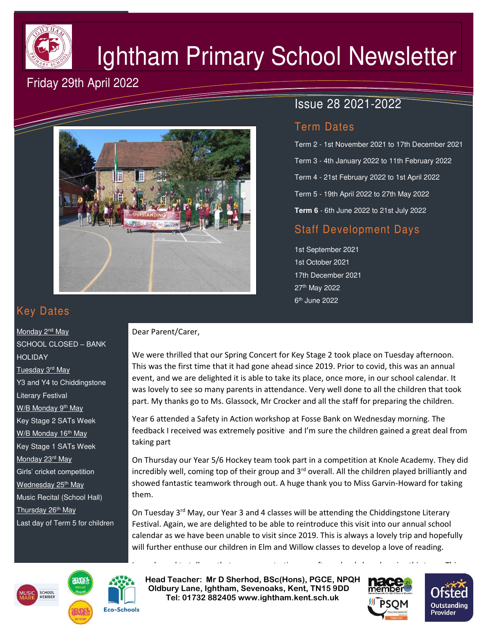

# Ightham Primary School Newsletter

## Friday 29th April 2022



## Issue 28 2021-2022

## Term Dates

Term 2 - 1st November 2021 to 17th December 2021 Term 3 - 4th January 2022 to 11th February 2022 Term 4 - 21st February 2022 to 1st April 2022 Term 5 - 19th April 2022 to 27th May 2022 **Term 6** - 6th June 2022 to 21st July 2022

## Staff Development Days

1st September 2021 1st October 2021 17th December 2021 27th May 2022 6<sup>th</sup> June 2022

## Key Dates

Monday 2<sup>nd</sup> May SCHOOL CLOSED – BANK HOLIDAY Tuesday 3rd May Y3 and Y4 to Chiddingstone Literary Festival W/B Monday 9<sup>th</sup> May Key Stage 2 SATs Week W/B Monday 16<sup>th</sup> May Key Stage 1 SATs Week Monday 23rd May Girls' cricket competition Wednesday 25<sup>th</sup> May Music Recital (School Hall) Thursday 26<sup>th</sup> May Last day of Term 5 for children

#### Dear Parent/Carer,

We were thrilled that our Spring Concert for Key Stage 2 took place on Tuesday afternoon. This was the first time that it had gone ahead since 2019. Prior to covid, this was an annual event, and we are delighted it is able to take its place, once more, in our school calendar. It was lovely to see so many parents in attendance. Very well done to all the children that took part. My thanks go to Ms. Glassock, Mr Crocker and all the staff for preparing the children.

Year 6 attended a Safety in Action workshop at Fosse Bank on Wednesday morning. The feedback I received was extremely positive and I'm sure the children gained a great deal from taking part

On Thursday our Year 5/6 Hockey team took part in a competition at Knole Academy. They did incredibly well, coming top of their group and  $3<sup>rd</sup>$  overall. All the children played brilliantly and showed fantastic teamwork through out. A huge thank you to Miss Garvin-Howard for taking them.

On Tuesday 3<sup>rd</sup> May, our Year 3 and 4 classes will be attending the Chiddingstone Literary Festival. Again, we are delighted to be able to reintroduce this visit into our annual school calendar as we have been unable to visit since 2019. This is always a lovely trip and hopefully will further enthuse our children in Elm and Willow classes to develop a love of reading.

I am pleased to tell you that we are re-starting our after-school class drop-ins this term. This

**EXTER HEAD TEACHER: Mr D Sherhod, BSc(Hons), PGCE, NPQH Oldbury Lane, Ightham, Sevenoaks, Kent, TN15 9DD** EXERIGING THE **TELE: 01732 882405 www.ightham.kent.sch.uk**<br>Tel: 01732 882405 www.ightham.kent.sch.uk







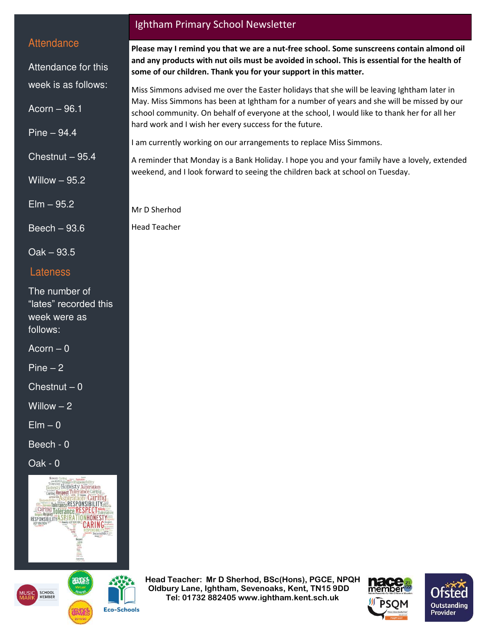### **Attendance**

Attendance for this week is as follows:

 $Acorn - 96.1$ 

Pine – 94.4

Chestnut – 95.4

Willow – 95.2

Elm – 95.2

Beech – 93.6

Oak – 93.5

#### Lateness

The number of "lates" recorded this week were as follows:

 $Acorn - 0$ 

Pine – 2

 $\overline{C}$ hestnut – 0

Willow  $-2$ 

 $E$ lm – 0

Beech - 0

Oak - 0





**Eco-Schools** 

#### Ightham Primary School Newsletter

**Please may I remind you that we are a nut-free school. Some sunscreens contain almond oil and any products with nut oils must be avoided in school. This is essential for the health of some of our children. Thank you for your support in this matter.** 

Miss Simmons advised me over the Easter holidays that she will be leaving Ightham later in May. Miss Simmons has been at Ightham for a number of years and she will be missed by our school community. On behalf of everyone at the school, I would like to thank her for all her hard work and I wish her every success for the future.

I am currently working on our arrangements to replace Miss Simmons.

A reminder that Monday is a Bank Holiday. I hope you and your family have a lovely, extended weekend, and I look forward to seeing the children back at school on Tuesday.

Mr D Sherhod

Head Teacher

 **Head Teacher: Mr D Sherhod, BSc(Hons), PGCE, NPQH Oldbury Lane, Ightham, Sevenoaks, Kent, TN15 9DD Tel: 01732 882405 www.ightham.kent.sch.uk**